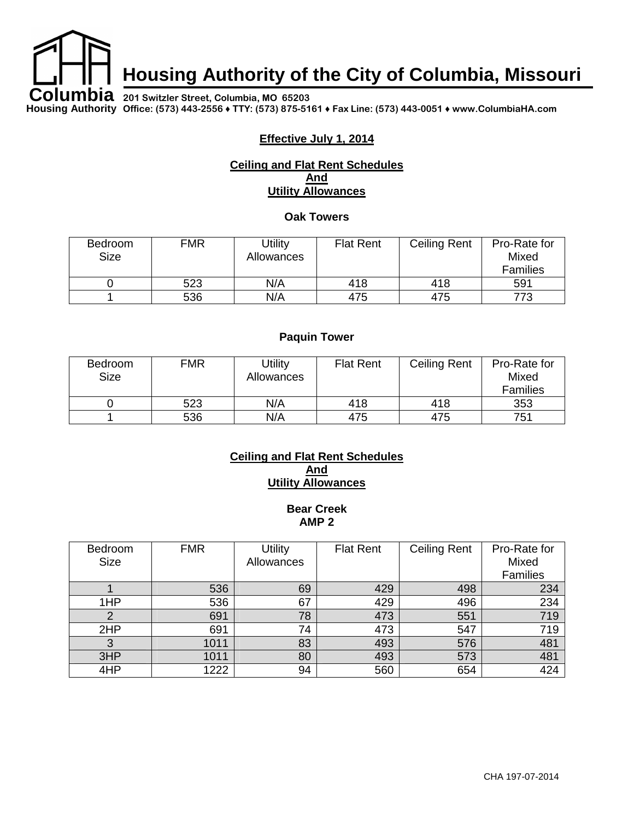**Housing Authority of the City of Columbia, Missouri**

**Columbia 201 Switzler Street, Columbia, MO 65203**

**Housing Authority Office: (573) 443-2556** ♦ **TTY: (573) 875-5161** ♦ **Fax Line: (573) 443-0051** ♦ **www.ColumbiaHA.com** 

# **Effective July 1, 2014**

## **Ceiling and Flat Rent Schedules And Utility Allowances**

#### **Oak Towers**

| Bedroom<br><b>Size</b> | <b>FMR</b> | Utility<br>Allowances | <b>Flat Rent</b> | <b>Ceiling Rent</b> | Pro-Rate for<br>Mixed<br><b>Families</b> |
|------------------------|------------|-----------------------|------------------|---------------------|------------------------------------------|
|                        | 523        | N/A                   | 418              | 418                 | 591                                      |
|                        | 536        | N/A                   | 475              | 475                 | 773                                      |

# **Paquin Tower**

| Bedroom     | <b>FMR</b> | <b>Utility</b> | <b>Flat Rent</b> | <b>Ceiling Rent</b> | Pro-Rate for    |
|-------------|------------|----------------|------------------|---------------------|-----------------|
| <b>Size</b> |            | Allowances     |                  |                     | Mixed           |
|             |            |                |                  |                     | <b>Families</b> |
|             | 523        | N/A            | 418              | 418                 | 353             |
|             | 536        | N/A            | 475              | 475                 | 751             |

### **Ceiling and Flat Rent Schedules And Utility Allowances**

#### **Bear Creek AMP 2**

| Bedroom<br><b>Size</b> | <b>FMR</b> | Utility<br>Allowances | <b>Flat Rent</b> | <b>Ceiling Rent</b> | Pro-Rate for<br>Mixed<br>Families |
|------------------------|------------|-----------------------|------------------|---------------------|-----------------------------------|
|                        | 536        | 69                    | 429              | 498                 | 234                               |
| 1HP                    | 536        | 67                    | 429              | 496                 | 234                               |
|                        | 691        | 78                    | 473              | 551                 | 719                               |
| 2HP                    | 691        | 74                    | 473              | 547                 | 719                               |
| 3                      | 1011       | 83                    | 493              | 576                 | 481                               |
| 3HP                    | 1011       | 80                    | 493              | 573                 | 481                               |
| 4HP                    | 1222       | 94                    | 560              | 654                 | 424                               |